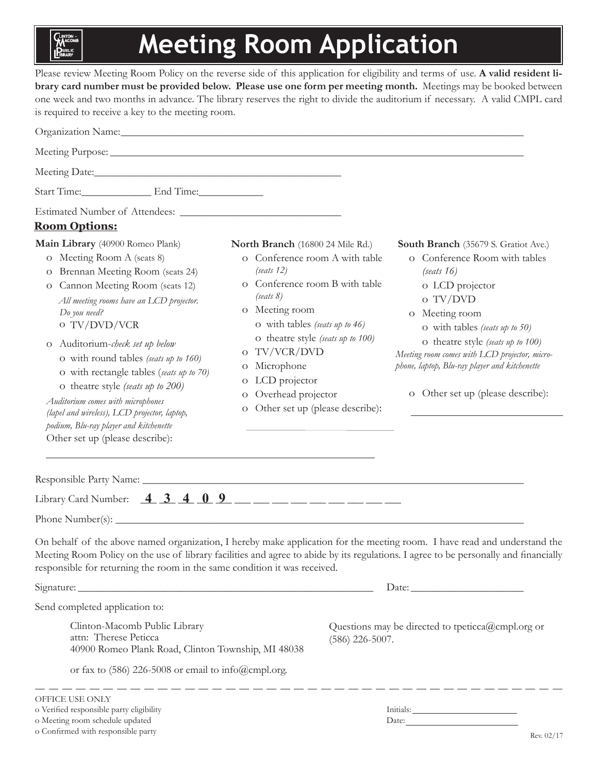## **Meeting Room Application**

Please review Meeting Room Policy on the reverse side of this application for eligibility and terms of use. **A valid resident library card number must be provided below. Please use one form per meeting month.** Meetings may be booked between one week and two months in advance. The library reserves the right to divide the auditorium if necessary. A valid CMPL card is required to receive a key to the meeting room.

| Organization Name: 1988 and 2008 and 2008 and 2008 and 2008 and 2008 and 2008 and 2008 and 2008 and 2008 and 20                                                                                                                                                                                                                                                                                                                                                                                     |                                                                                                                                                                                                                                                                                                                          |                                                                                                                                                                                                                                                                           |  |
|-----------------------------------------------------------------------------------------------------------------------------------------------------------------------------------------------------------------------------------------------------------------------------------------------------------------------------------------------------------------------------------------------------------------------------------------------------------------------------------------------------|--------------------------------------------------------------------------------------------------------------------------------------------------------------------------------------------------------------------------------------------------------------------------------------------------------------------------|---------------------------------------------------------------------------------------------------------------------------------------------------------------------------------------------------------------------------------------------------------------------------|--|
| Meeting Purpose: New York Contract and Security Contract and Security Contract of the Contract of the Contract of the Contract of the Contract of the Contract of the Contract of the Contract of the Contract of the Contract                                                                                                                                                                                                                                                                      |                                                                                                                                                                                                                                                                                                                          |                                                                                                                                                                                                                                                                           |  |
|                                                                                                                                                                                                                                                                                                                                                                                                                                                                                                     |                                                                                                                                                                                                                                                                                                                          |                                                                                                                                                                                                                                                                           |  |
| Start Time: End Time:                                                                                                                                                                                                                                                                                                                                                                                                                                                                               |                                                                                                                                                                                                                                                                                                                          |                                                                                                                                                                                                                                                                           |  |
| <b>Room Options:</b><br>Main Library (40900 Romeo Plank)<br>o Meeting Room A (seats 8)                                                                                                                                                                                                                                                                                                                                                                                                              | North Branch (16800 24 Mile Rd.)<br>o Conference room A with table                                                                                                                                                                                                                                                       | South Branch (35679 S. Gratiot Ave.)<br>o Conference Room with tables                                                                                                                                                                                                     |  |
| Brennan Meeting Room (seats 24)<br>$\circ$<br>Cannon Meeting Room (seats 12)<br>$\rm{O}$<br>All meeting rooms have an LCD projector.<br>Do you need?<br>o TV/DVD/VCR<br>O Auditorium-check set up below<br>O with round tables (seats up to 160)<br>O with rectangle tables (seats up to 70)<br>o theatre style (seats up to 200)<br>Auditorium comes with microphones<br>(lapel and wireless), LCD projector, laptop,<br>podium, Blu-ray player and kitchenette<br>Other set up (please describe): | (seats 12)<br>o Conference room B with table<br>(seats 8)<br>o Meeting room<br>O with tables (seats up to 46)<br>O theatre style (seats up to 100)<br>TV/VCR/DVD<br>$\Omega$<br>Microphone<br>$\sigma$<br>LCD projector<br>$\circ$<br>Overhead projector<br>$\circ$<br>Other set up (please describe):<br>$\overline{O}$ | (seats 16)<br>o LCD projector<br>o TV/DVD<br>o Meeting room<br>O with tables (seats up to 50)<br>O theatre style (seats up to 100)<br>Meeting room comes with LCD projector, micro-<br>phone, laptop, Blu-ray player and kitchenette<br>o Other set up (please describe): |  |
|                                                                                                                                                                                                                                                                                                                                                                                                                                                                                                     |                                                                                                                                                                                                                                                                                                                          |                                                                                                                                                                                                                                                                           |  |
| Library Card Number: $\frac{4}{3} \frac{3}{4} \frac{4}{0} \frac{9}{2}$ ___ __ __ __ __ __ __ __ __                                                                                                                                                                                                                                                                                                                                                                                                  |                                                                                                                                                                                                                                                                                                                          |                                                                                                                                                                                                                                                                           |  |
|                                                                                                                                                                                                                                                                                                                                                                                                                                                                                                     |                                                                                                                                                                                                                                                                                                                          |                                                                                                                                                                                                                                                                           |  |
| On behalf of the above named organization, I hereby make application for the meeting room. I have read and understand the<br>Meeting Room Policy on the use of library facilities and agree to abide by its regulations. I agree to be personally and financially<br>responsible for returning the room in the same condition it was received.                                                                                                                                                      |                                                                                                                                                                                                                                                                                                                          |                                                                                                                                                                                                                                                                           |  |
|                                                                                                                                                                                                                                                                                                                                                                                                                                                                                                     |                                                                                                                                                                                                                                                                                                                          | Date: $\frac{1}{\sqrt{1-\frac{1}{2}}\left(\frac{1}{2}-\frac{1}{2}\right)}$                                                                                                                                                                                                |  |
| Send completed application to:                                                                                                                                                                                                                                                                                                                                                                                                                                                                      |                                                                                                                                                                                                                                                                                                                          |                                                                                                                                                                                                                                                                           |  |
| Clinton-Macomb Public Library<br>attn: Therese Peticca<br>40900 Romeo Plank Road, Clinton Township, MI 48038                                                                                                                                                                                                                                                                                                                                                                                        |                                                                                                                                                                                                                                                                                                                          | Questions may be directed to tpeticca@cmpl.org or<br>$(586)$ 226-5007.                                                                                                                                                                                                    |  |
| or fax to $(586)$ 226-5008 or email to info@cmpl.org.                                                                                                                                                                                                                                                                                                                                                                                                                                               |                                                                                                                                                                                                                                                                                                                          |                                                                                                                                                                                                                                                                           |  |
| OFFICE USE ONLY<br>o Verified responsible party eligibility<br>o Meeting room schedule updated                                                                                                                                                                                                                                                                                                                                                                                                      |                                                                                                                                                                                                                                                                                                                          | Date:                                                                                                                                                                                                                                                                     |  |

o Confirmed with responsible party